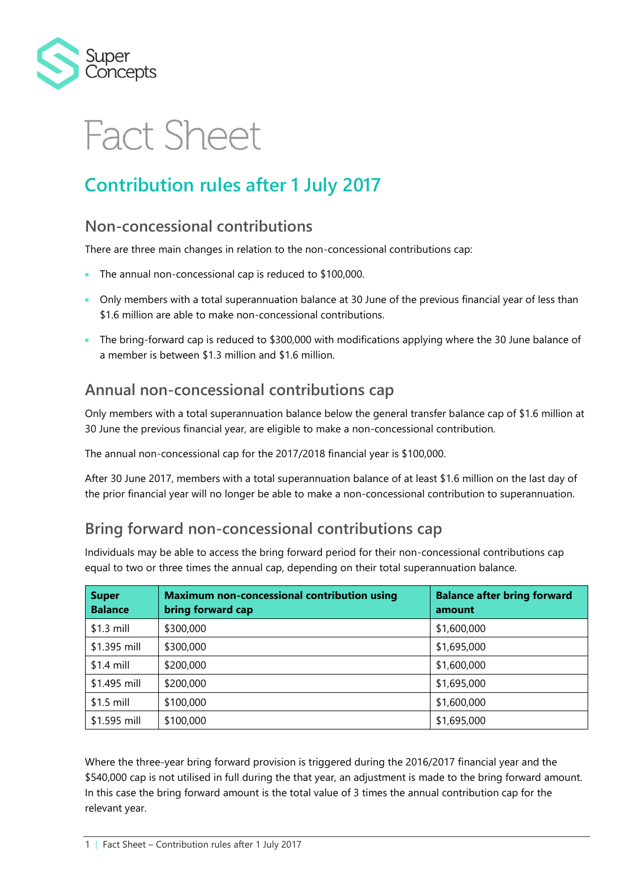

# **Fact Sheet**

## **Contribution rules after 1 July 2017**

#### **Non-concessional contributions**

There are three main changes in relation to the non-concessional contributions cap:

- The annual non-concessional cap is reduced to \$100,000.
- Only members with a total superannuation balance at 30 June of the previous financial year of less than \$1.6 million are able to make non-concessional contributions.
- The bring-forward cap is reduced to \$300,000 with modifications applying where the 30 June balance of a member is between \$1.3 million and \$1.6 million.

#### **Annual non-concessional contributions cap**

Only members with a total superannuation balance below the general transfer balance cap of \$1.6 million at 30 June the previous financial year, are eligible to make a non-concessional contribution.

The annual non-concessional cap for the 2017/2018 financial year is \$100,000.

After 30 June 2017, members with a total superannuation balance of at least \$1.6 million on the last day of the prior financial year will no longer be able to make a non-concessional contribution to superannuation.

### **Bring forward non-concessional contributions cap**

Individuals may be able to access the bring forward period for their non-concessional contributions cap equal to two or three times the annual cap, depending on their total superannuation balance.

| <b>Super</b><br><b>Balance</b> | <b>Maximum non-concessional contribution using</b><br>bring forward cap | <b>Balance after bring forward</b><br>amount |
|--------------------------------|-------------------------------------------------------------------------|----------------------------------------------|
| $$1.3$ mill                    | \$300,000                                                               | \$1,600,000                                  |
| \$1.395 mill                   | \$300,000                                                               | \$1,695,000                                  |
| $$1.4$ mill                    | \$200,000                                                               | \$1,600,000                                  |
| \$1.495 mill                   | \$200,000                                                               | \$1,695,000                                  |
| $$1.5$ mill                    | \$100,000                                                               | \$1,600,000                                  |
| \$1.595 mill                   | \$100,000                                                               | \$1,695,000                                  |

Where the three-year bring forward provision is triggered during the 2016/2017 financial year and the \$540,000 cap is not utilised in full during the that year, an adjustment is made to the bring forward amount. In this case the bring forward amount is the total value of 3 times the annual contribution cap for the relevant year.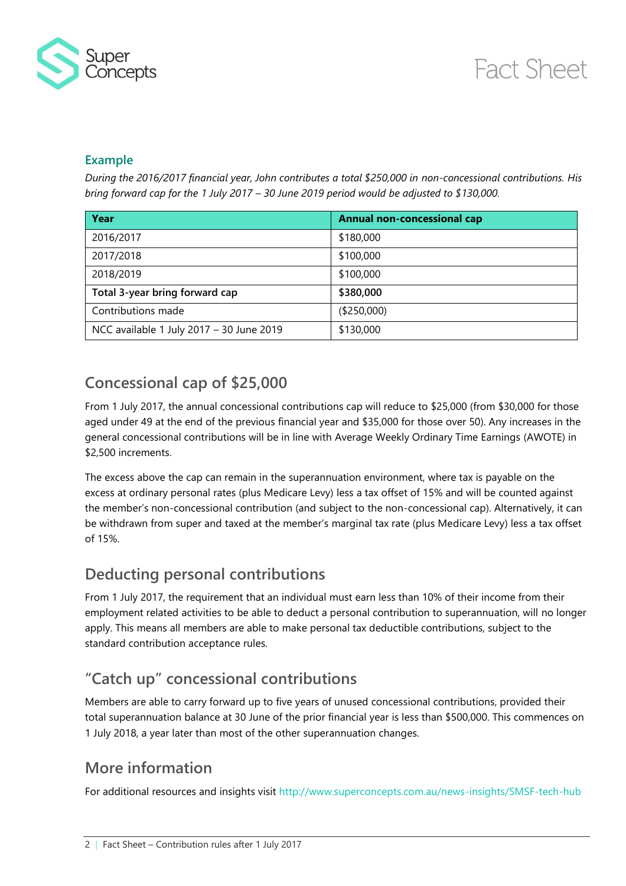

#### **Example**

*During the 2016/2017 financial year, John contributes a total \$250,000 in non-concessional contributions. His bring forward cap for the 1 July 2017 – 30 June 2019 period would be adjusted to \$130,000.*

| Year                                     | <b>Annual non-concessional cap</b> |
|------------------------------------------|------------------------------------|
| 2016/2017                                | \$180,000                          |
| 2017/2018                                | \$100,000                          |
| 2018/2019                                | \$100,000                          |
| Total 3-year bring forward cap           | \$380,000                          |
| Contributions made                       | (\$250,000)                        |
| NCC available 1 July 2017 - 30 June 2019 | \$130,000                          |

### **Concessional cap of \$25,000**

From 1 July 2017, the annual concessional contributions cap will reduce to \$25,000 (from \$30,000 for those aged under 49 at the end of the previous financial year and \$35,000 for those over 50). Any increases in the general concessional contributions will be in line with Average Weekly Ordinary Time Earnings (AWOTE) in \$2,500 increments.

The excess above the cap can remain in the superannuation environment, where tax is payable on the excess at ordinary personal rates (plus Medicare Levy) less a tax offset of 15% and will be counted against the member's non-concessional contribution (and subject to the non-concessional cap). Alternatively, it can be withdrawn from super and taxed at the member's marginal tax rate (plus Medicare Levy) less a tax offset of 15%.

#### **Deducting personal contributions**

From 1 July 2017, the requirement that an individual must earn less than 10% of their income from their employment related activities to be able to deduct a personal contribution to superannuation, will no longer apply. This means all members are able to make personal tax deductible contributions, subject to the standard contribution acceptance rules.

## **"Catch up" concessional contributions**

Members are able to carry forward up to five years of unused concessional contributions, provided their total superannuation balance at 30 June of the prior financial year is less than \$500,000. This commences on 1 July 2018, a year later than most of the other superannuation changes.

### **More information**

For additional resources and insights visit<http://www.superconcepts.com.au/news-insights/SMSF-tech-hub>